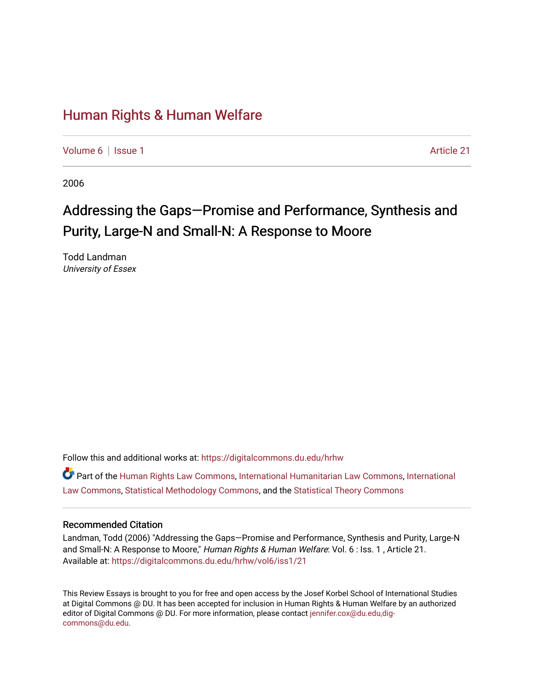### [Human Rights & Human Welfare](https://digitalcommons.du.edu/hrhw)

[Volume 6](https://digitalcommons.du.edu/hrhw/vol6) | [Issue 1](https://digitalcommons.du.edu/hrhw/vol6/iss1) Article 21

2006

# Addressing the Gaps—Promise and Performance, Synthesis and Purity, Large-N and Small-N: A Response to Moore

Todd Landman University of Essex

Follow this and additional works at: [https://digitalcommons.du.edu/hrhw](https://digitalcommons.du.edu/hrhw?utm_source=digitalcommons.du.edu%2Fhrhw%2Fvol6%2Fiss1%2F21&utm_medium=PDF&utm_campaign=PDFCoverPages)

Part of the [Human Rights Law Commons,](http://network.bepress.com/hgg/discipline/847?utm_source=digitalcommons.du.edu%2Fhrhw%2Fvol6%2Fiss1%2F21&utm_medium=PDF&utm_campaign=PDFCoverPages) [International Humanitarian Law Commons](http://network.bepress.com/hgg/discipline/1330?utm_source=digitalcommons.du.edu%2Fhrhw%2Fvol6%2Fiss1%2F21&utm_medium=PDF&utm_campaign=PDFCoverPages), [International](http://network.bepress.com/hgg/discipline/609?utm_source=digitalcommons.du.edu%2Fhrhw%2Fvol6%2Fiss1%2F21&utm_medium=PDF&utm_campaign=PDFCoverPages) [Law Commons,](http://network.bepress.com/hgg/discipline/609?utm_source=digitalcommons.du.edu%2Fhrhw%2Fvol6%2Fiss1%2F21&utm_medium=PDF&utm_campaign=PDFCoverPages) [Statistical Methodology Commons](http://network.bepress.com/hgg/discipline/213?utm_source=digitalcommons.du.edu%2Fhrhw%2Fvol6%2Fiss1%2F21&utm_medium=PDF&utm_campaign=PDFCoverPages), and the [Statistical Theory Commons](http://network.bepress.com/hgg/discipline/214?utm_source=digitalcommons.du.edu%2Fhrhw%2Fvol6%2Fiss1%2F21&utm_medium=PDF&utm_campaign=PDFCoverPages)

#### Recommended Citation

Landman, Todd (2006) "Addressing the Gaps—Promise and Performance, Synthesis and Purity, Large-N and Small-N: A Response to Moore," Human Rights & Human Welfare: Vol. 6 : Iss. 1, Article 21. Available at: [https://digitalcommons.du.edu/hrhw/vol6/iss1/21](https://digitalcommons.du.edu/hrhw/vol6/iss1/21?utm_source=digitalcommons.du.edu%2Fhrhw%2Fvol6%2Fiss1%2F21&utm_medium=PDF&utm_campaign=PDFCoverPages) 

This Review Essays is brought to you for free and open access by the Josef Korbel School of International Studies at Digital Commons @ DU. It has been accepted for inclusion in Human Rights & Human Welfare by an authorized editor of Digital Commons @ DU. For more information, please contact [jennifer.cox@du.edu,dig](mailto:jennifer.cox@du.edu,dig-commons@du.edu)[commons@du.edu.](mailto:jennifer.cox@du.edu,dig-commons@du.edu)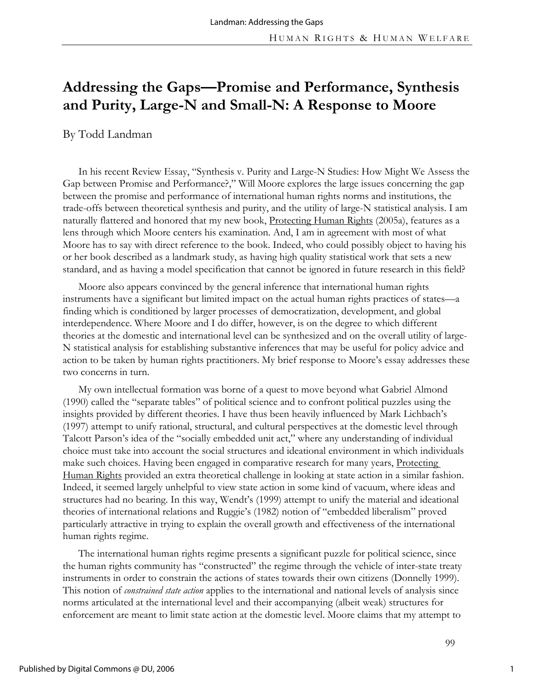## **Addressing the Gaps—Promise and Performance, Synthesis and Purity, Large-N and Small-N: A Response to Moore**

By Todd Landman

In his recent Review Essay, "Synthesis v. Purity and Large-N Studies: How Might We Assess the Gap between Promise and Performance?," Will Moore explores the large issues concerning the gap between the promise and performance of international human rights norms and institutions, the trade-offs between theoretical synthesis and purity, and the utility of large-N statistical analysis. I am naturally flattered and honored that my new book, Protecting Human Rights (2005a), features as a lens through which Moore centers his examination. And, I am in agreement with most of what Moore has to say with direct reference to the book. Indeed, who could possibly object to having his or her book described as a landmark study, as having high quality statistical work that sets a new standard, and as having a model specification that cannot be ignored in future research in this field?

Moore also appears convinced by the general inference that international human rights instruments have a significant but limited impact on the actual human rights practices of states—a finding which is conditioned by larger processes of democratization, development, and global interdependence. Where Moore and I do differ, however, is on the degree to which different theories at the domestic and international level can be synthesized and on the overall utility of large-N statistical analysis for establishing substantive inferences that may be useful for policy advice and action to be taken by human rights practitioners. My brief response to Moore's essay addresses these two concerns in turn.

My own intellectual formation was borne of a quest to move beyond what Gabriel Almond (1990) called the "separate tables" of political science and to confront political puzzles using the insights provided by different theories. I have thus been heavily influenced by Mark Lichbach's (1997) attempt to unify rational, structural, and cultural perspectives at the domestic level through Talcott Parson's idea of the "socially embedded unit act," where any understanding of individual choice must take into account the social structures and ideational environment in which individuals make such choices. Having been engaged in comparative research for many years, Protecting Human Rights provided an extra theoretical challenge in looking at state action in a similar fashion. Indeed, it seemed largely unhelpful to view state action in some kind of vacuum, where ideas and structures had no bearing. In this way, Wendt's (1999) attempt to unify the material and ideational theories of international relations and Ruggie's (1982) notion of "embedded liberalism" proved particularly attractive in trying to explain the overall growth and effectiveness of the international human rights regime.

The international human rights regime presents a significant puzzle for political science, since the human rights community has "constructed" the regime through the vehicle of inter-state treaty instruments in order to constrain the actions of states towards their own citizens (Donnelly 1999). This notion of *constrained state action* applies to the international and national levels of analysis since norms articulated at the international level and their accompanying (albeit weak) structures for enforcement are meant to limit state action at the domestic level. Moore claims that my attempt to

1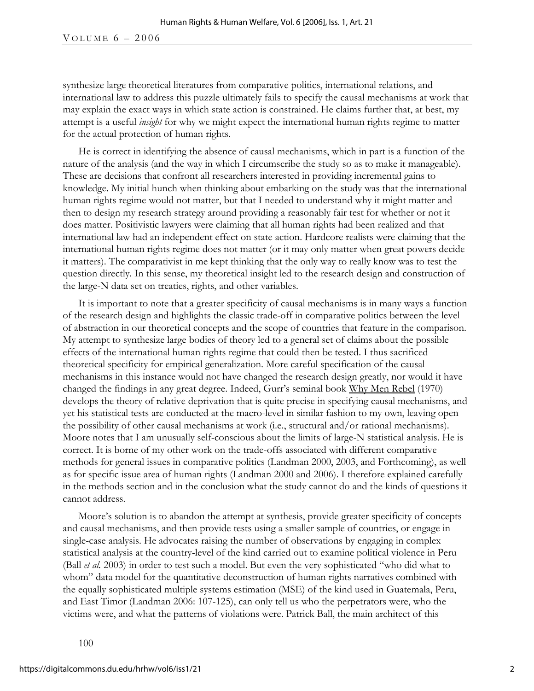synthesize large theoretical literatures from comparative politics, international relations, and international law to address this puzzle ultimately fails to specify the causal mechanisms at work that may explain the exact ways in which state action is constrained. He claims further that, at best, my attempt is a useful *insight* for why we might expect the international human rights regime to matter for the actual protection of human rights.

He is correct in identifying the absence of causal mechanisms, which in part is a function of the nature of the analysis (and the way in which I circumscribe the study so as to make it manageable). These are decisions that confront all researchers interested in providing incremental gains to knowledge. My initial hunch when thinking about embarking on the study was that the international human rights regime would not matter, but that I needed to understand why it might matter and then to design my research strategy around providing a reasonably fair test for whether or not it does matter. Positivistic lawyers were claiming that all human rights had been realized and that international law had an independent effect on state action. Hardcore realists were claiming that the international human rights regime does not matter (or it may only matter when great powers decide it matters). The comparativist in me kept thinking that the only way to really know was to test the question directly. In this sense, my theoretical insight led to the research design and construction of the large-N data set on treaties, rights, and other variables.

It is important to note that a greater specificity of causal mechanisms is in many ways a function of the research design and highlights the classic trade-off in comparative politics between the level of abstraction in our theoretical concepts and the scope of countries that feature in the comparison. My attempt to synthesize large bodies of theory led to a general set of claims about the possible effects of the international human rights regime that could then be tested. I thus sacrificed theoretical specificity for empirical generalization. More careful specification of the causal mechanisms in this instance would not have changed the research design greatly, nor would it have changed the findings in any great degree. Indeed, Gurr's seminal book Why Men Rebel (1970) develops the theory of relative deprivation that is quite precise in specifying causal mechanisms, and yet his statistical tests are conducted at the macro-level in similar fashion to my own, leaving open the possibility of other causal mechanisms at work (i.e., structural and/or rational mechanisms). Moore notes that I am unusually self-conscious about the limits of large-N statistical analysis. He is correct. It is borne of my other work on the trade-offs associated with different comparative methods for general issues in comparative politics (Landman 2000, 2003, and Forthcoming), as well as for specific issue area of human rights (Landman 2000 and 2006). I therefore explained carefully in the methods section and in the conclusion what the study cannot do and the kinds of questions it cannot address.

Moore's solution is to abandon the attempt at synthesis, provide greater specificity of concepts and causal mechanisms, and then provide tests using a smaller sample of countries, or engage in single-case analysis. He advocates raising the number of observations by engaging in complex statistical analysis at the country-level of the kind carried out to examine political violence in Peru (Ball *et al.* 2003) in order to test such a model. But even the very sophisticated "who did what to whom" data model for the quantitative deconstruction of human rights narratives combined with the equally sophisticated multiple systems estimation (MSE) of the kind used in Guatemala, Peru, and East Timor (Landman 2006: 107-125), can only tell us who the perpetrators were, who the victims were, and what the patterns of violations were. Patrick Ball, the main architect of this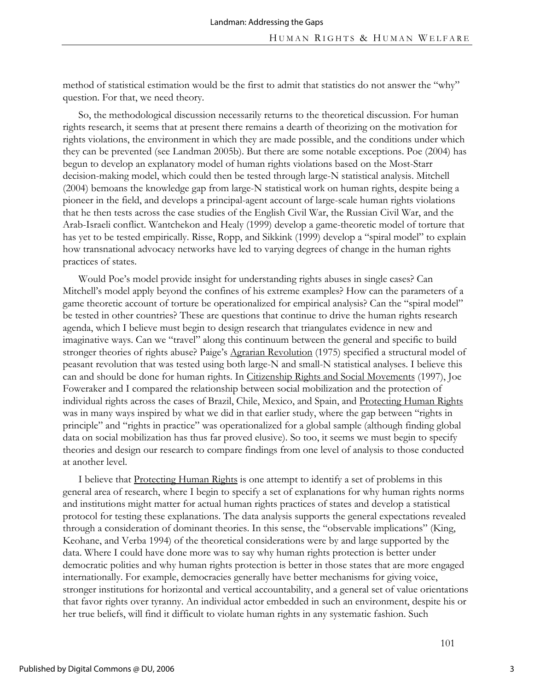method of statistical estimation would be the first to admit that statistics do not answer the "why" question. For that, we need theory.

So, the methodological discussion necessarily returns to the theoretical discussion. For human rights research, it seems that at present there remains a dearth of theorizing on the motivation for rights violations, the environment in which they are made possible, and the conditions under which they can be prevented (see Landman 2005b). But there are some notable exceptions. Poe (2004) has begun to develop an explanatory model of human rights violations based on the Most-Starr decision-making model, which could then be tested through large-N statistical analysis. Mitchell (2004) bemoans the knowledge gap from large-N statistical work on human rights, despite being a pioneer in the field, and develops a principal-agent account of large-scale human rights violations that he then tests across the case studies of the English Civil War, the Russian Civil War, and the Arab-Israeli conflict. Wantchekon and Healy (1999) develop a game-theoretic model of torture that has yet to be tested empirically. Risse, Ropp, and Sikkink (1999) develop a "spiral model" to explain how transnational advocacy networks have led to varying degrees of change in the human rights practices of states.

Would Poe's model provide insight for understanding rights abuses in single cases? Can Mitchell's model apply beyond the confines of his extreme examples? How can the parameters of a game theoretic account of torture be operationalized for empirical analysis? Can the "spiral model" be tested in other countries? These are questions that continue to drive the human rights research agenda, which I believe must begin to design research that triangulates evidence in new and imaginative ways. Can we "travel" along this continuum between the general and specific to build stronger theories of rights abuse? Paige's Agrarian Revolution (1975) specified a structural model of peasant revolution that was tested using both large-N and small-N statistical analyses. I believe this can and should be done for human rights. In Citizenship Rights and Social Movements (1997), Joe Foweraker and I compared the relationship between social mobilization and the protection of individual rights across the cases of Brazil, Chile, Mexico, and Spain, and Protecting Human Rights was in many ways inspired by what we did in that earlier study, where the gap between "rights in principle" and "rights in practice" was operationalized for a global sample (although finding global data on social mobilization has thus far proved elusive). So too, it seems we must begin to specify theories and design our research to compare findings from one level of analysis to those conducted at another level.

I believe that Protecting Human Rights is one attempt to identify a set of problems in this general area of research, where I begin to specify a set of explanations for why human rights norms and institutions might matter for actual human rights practices of states and develop a statistical protocol for testing these explanations. The data analysis supports the general expectations revealed through a consideration of dominant theories. In this sense, the "observable implications" (King, Keohane, and Verba 1994) of the theoretical considerations were by and large supported by the data. Where I could have done more was to say why human rights protection is better under democratic polities and why human rights protection is better in those states that are more engaged internationally. For example, democracies generally have better mechanisms for giving voice, stronger institutions for horizontal and vertical accountability, and a general set of value orientations that favor rights over tyranny. An individual actor embedded in such an environment, despite his or her true beliefs, will find it difficult to violate human rights in any systematic fashion. Such

3

101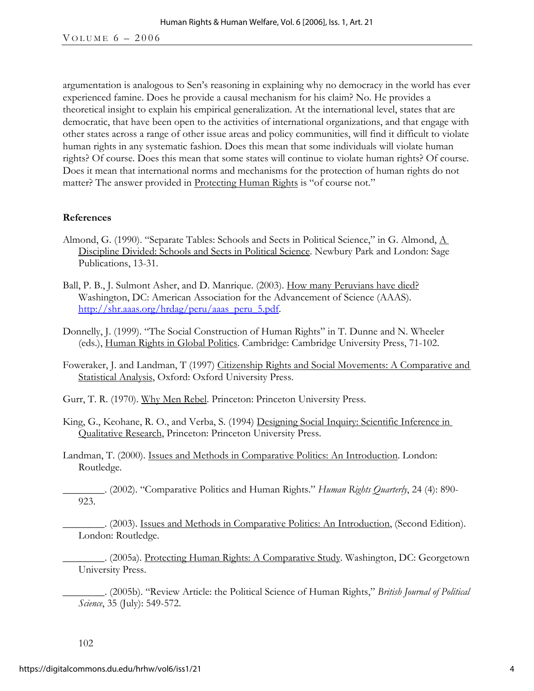argumentation is analogous to Sen's reasoning in explaining why no democracy in the world has ever experienced famine. Does he provide a causal mechanism for his claim? No. He provides a theoretical insight to explain his empirical generalization. At the international level, states that are democratic, that have been open to the activities of international organizations, and that engage with other states across a range of other issue areas and policy communities, will find it difficult to violate human rights in any systematic fashion. Does this mean that some individuals will violate human rights? Of course. Does this mean that some states will continue to violate human rights? Of course. Does it mean that international norms and mechanisms for the protection of human rights do not matter? The answer provided in Protecting Human Rights is "of course not."

### **References**

- Almond, G. (1990). "Separate Tables: Schools and Sects in Political Science," in G. Almond, A Discipline Divided: Schools and Sects in Political Science. Newbury Park and London: Sage Publications, 13-31.
- Ball, P. B., J. Sulmont Asher, and D. Manrique. (2003). How many Peruvians have died? Washington, DC: American Association for the Advancement of Science (AAAS). http://shr.aaas.org/hrdag/peru/aaas\_peru\_5.pdf.
- Donnelly, J. (1999). "The Social Construction of Human Rights" in T. Dunne and N. Wheeler (eds.), Human Rights in Global Politics. Cambridge: Cambridge University Press, 71-102.
- Foweraker, J. and Landman, T (1997) Citizenship Rights and Social Movements: A Comparative and Statistical Analysis, Oxford: Oxford University Press.

Gurr, T. R. (1970). Why Men Rebel. Princeton: Princeton University Press.

- King, G., Keohane, R. O., and Verba, S. (1994) Designing Social Inquiry: Scientific Inference in Qualitative Research, Princeton: Princeton University Press.
- Landman, T. (2000). Issues and Methods in Comparative Politics: An Introduction. London: Routledge.

\_\_\_\_\_\_\_\_. (2002). "Comparative Politics and Human Rights." *Human Rights Quarterly*, 24 (4): 890- 923.

\_\_\_\_\_\_\_\_. (2003). Issues and Methods in Comparative Politics: An Introduction, (Second Edition). London: Routledge.

\_\_\_\_\_\_\_\_. (2005a). Protecting Human Rights: A Comparative Study. Washington, DC: Georgetown University Press.

\_\_\_\_\_\_\_\_. (2005b). "Review Article: the Political Science of Human Rights," *British Journal of Political Science*, 35 (July): 549-572.